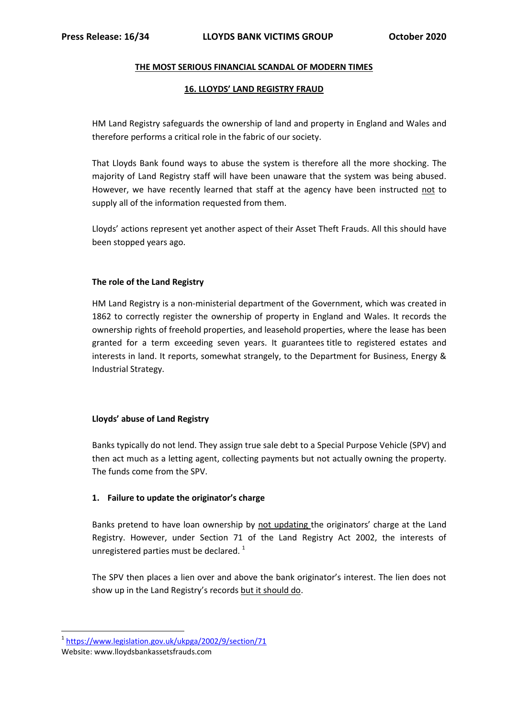### **THE MOST SERIOUS FINANCIAL SCANDAL OF MODERN TIMES**

### **16. LLOYDS' LAND REGISTRY FRAUD**

HM Land Registry safeguards the ownership of land and property in England and Wales and therefore performs a critical role in the fabric of our society.

That Lloyds Bank found ways to abuse the system is therefore all the more shocking. The majority of Land Registry staff will have been unaware that the system was being abused. However, we have recently learned that staff at the agency have been instructed not to supply all of the information requested from them.

Lloyds' actions represent yet another aspect of their Asset Theft Frauds. All this should have been stopped years ago.

### **The role of the Land Registry**

HM Land Registry is a non-ministerial department of the Government, which was created in 1862 to correctly register the ownership of property in England and Wales. It records the ownership rights of [freehold](https://en.wikipedia.org/wiki/Freehold_(English_law)) properties, and [leasehold](https://en.wikipedia.org/wiki/Leasehold) properties, where the lease has been granted for a term exceeding seven years. It guarantees [title](https://en.wikipedia.org/wiki/Title_(property)) to registered estates and interests in land. It reports, somewhat strangely, to the Department for Business, Energy & Industrial Strategy.

#### **Lloyds' abuse of Land Registry**

Banks typically do not lend. They assign true sale debt to a Special Purpose Vehicle (SPV) and then act much as a letting agent, collecting payments but not actually owning the property. The funds come from the SPV.

# **1. Failure to update the originator's charge**

Banks pretend to have loan ownership by not updating the originators' charge at the Land Registry. However, under Section 71 of the Land Registry Act 2002, the interests of unregistered parties must be declared.  $1$ 

The SPV then places a lien over and above the bank originator's interest. The lien does not show up in the Land Registry's records but it should do.

1

<sup>&</sup>lt;sup>1</sup><https://www.legislation.gov.uk/ukpga/2002/9/section/71>

Website: www.lloydsbankassetsfrauds.com